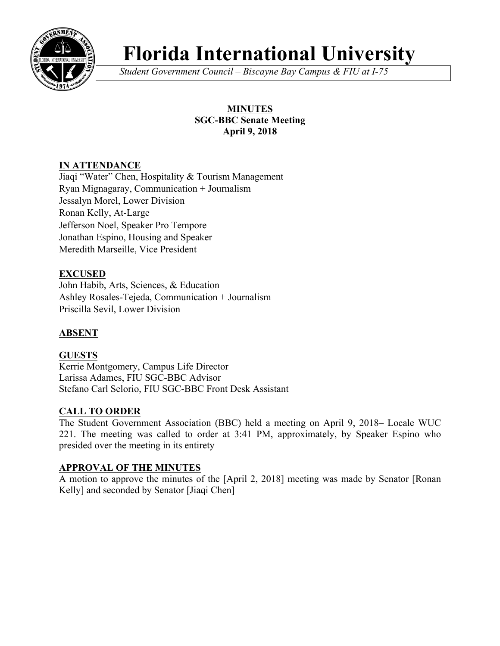

# **Florida International University**

*Student Government Council – Biscayne Bay Campus & FIU at I-75*

# **MINUTES SGC-BBC Senate Meeting April 9, 2018**

# **IN ATTENDANCE**

Jiaqi "Water" Chen, Hospitality & Tourism Management Ryan Mignagaray, Communication + Journalism Jessalyn Morel, Lower Division Ronan Kelly, At-Large Jefferson Noel, Speaker Pro Tempore Jonathan Espino, Housing and Speaker Meredith Marseille, Vice President

# **EXCUSED**

John Habib, Arts, Sciences, & Education Ashley Rosales-Tejeda, Communication + Journalism Priscilla Sevil, Lower Division

# **ABSENT**

# **GUESTS**

Kerrie Montgomery, Campus Life Director Larissa Adames, FIU SGC-BBC Advisor Stefano Carl Selorio, FIU SGC-BBC Front Desk Assistant

# **CALL TO ORDER**

The Student Government Association (BBC) held a meeting on April 9, 2018– Locale WUC 221. The meeting was called to order at 3:41 PM, approximately, by Speaker Espino who presided over the meeting in its entirety

## **APPROVAL OF THE MINUTES**

A motion to approve the minutes of the [April 2, 2018] meeting was made by Senator [Ronan Kelly] and seconded by Senator [Jiaqi Chen]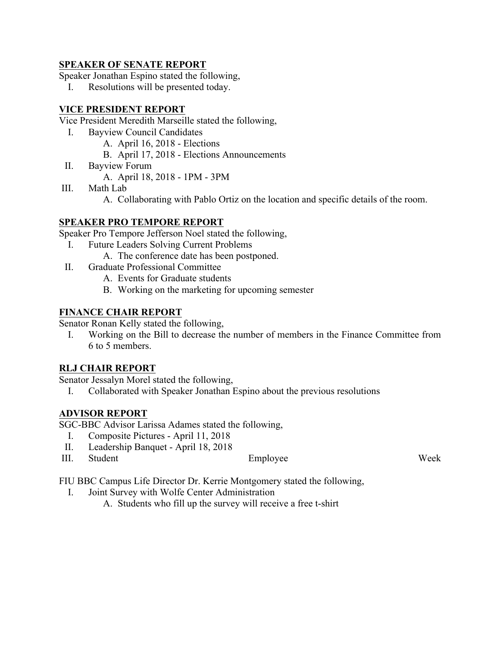#### **SPEAKER OF SENATE REPORT**

Speaker Jonathan Espino stated the following,

I. Resolutions will be presented today.

## **VICE PRESIDENT REPORT**

Vice President Meredith Marseille stated the following,

- I. Bayview Council Candidates
	- A. April 16, 2018 Elections
	- B. April 17, 2018 Elections Announcements
- II. Bayview Forum

A. April 18, 2018 - 1PM - 3PM

- III. Math Lab
	- A. Collaborating with Pablo Ortiz on the location and specific details of the room.

#### **SPEAKER PRO TEMPORE REPORT**

Speaker Pro Tempore Jefferson Noel stated the following,

- I. Future Leaders Solving Current Problems
	- A. The conference date has been postponed.
- II. Graduate Professional Committee
	- A. Events for Graduate students
	- B. Working on the marketing for upcoming semester

#### **FINANCE CHAIR REPORT**

Senator Ronan Kelly stated the following,

I. Working on the Bill to decrease the number of members in the Finance Committee from 6 to 5 members.

#### **RLJ CHAIR REPORT**

Senator Jessalyn Morel stated the following,

I. Collaborated with Speaker Jonathan Espino about the previous resolutions

## **ADVISOR REPORT**

SGC-BBC Advisor Larissa Adames stated the following,

- I. Composite Pictures April 11, 2018
- II. Leadership Banquet April 18, 2018
- III. Student Employee Week

FIU BBC Campus Life Director Dr. Kerrie Montgomery stated the following,

- I. Joint Survey with Wolfe Center Administration
	- A. Students who fill up the survey will receive a free t-shirt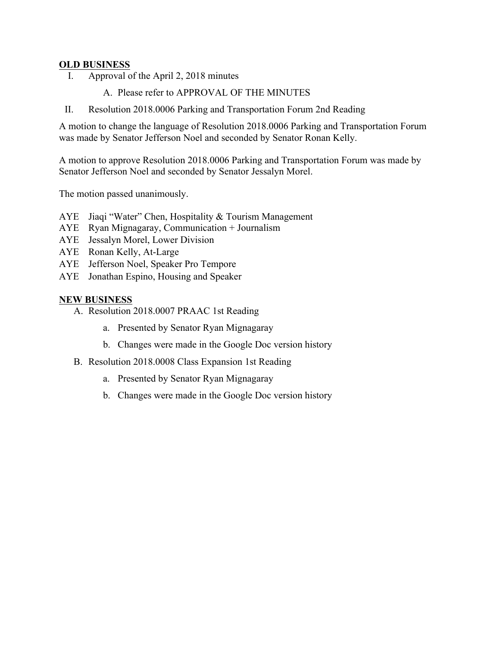#### **OLD BUSINESS**

- I. Approval of the April 2, 2018 minutes
	- A. Please refer to APPROVAL OF THE MINUTES
- II. Resolution 2018.0006 Parking and Transportation Forum 2nd Reading

A motion to change the language of Resolution 2018.0006 Parking and Transportation Forum was made by Senator Jefferson Noel and seconded by Senator Ronan Kelly.

A motion to approve Resolution 2018.0006 Parking and Transportation Forum was made by Senator Jefferson Noel and seconded by Senator Jessalyn Morel.

The motion passed unanimously.

- AYE Jiaqi "Water" Chen, Hospitality & Tourism Management
- AYE Ryan Mignagaray, Communication + Journalism
- AYE Jessalyn Morel, Lower Division
- AYE Ronan Kelly, At-Large
- AYE Jefferson Noel, Speaker Pro Tempore
- AYE Jonathan Espino, Housing and Speaker

#### **NEW BUSINESS**

- A. Resolution 2018.0007 PRAAC 1st Reading
	- a. Presented by Senator Ryan Mignagaray
	- b. Changes were made in the Google Doc version history
- B. Resolution 2018.0008 Class Expansion 1st Reading
	- a. Presented by Senator Ryan Mignagaray
	- b. Changes were made in the Google Doc version history